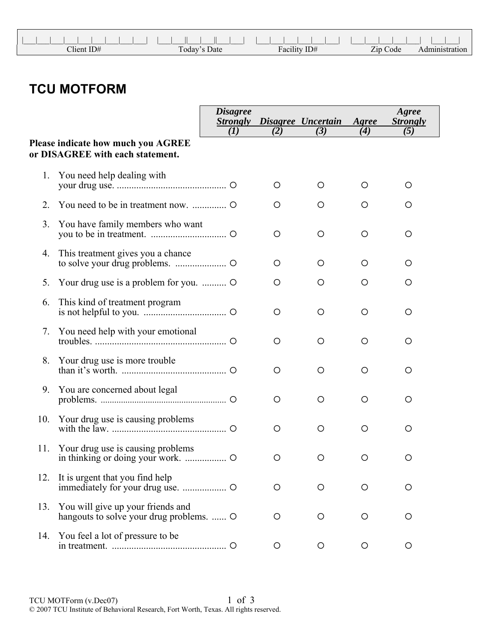| .             |              |              |          |  |
|---------------|--------------|--------------|----------|--|
| $C$ lient ID# | Today's Date | Facility ID# | Zip Code |  |

## **TCU MOTFORM**

|     |                                                                               | <b>Disagree</b><br><b>Strongly</b> |         | Disagree Uncertain | Agree   | Agree<br><b>Strongly</b> |
|-----|-------------------------------------------------------------------------------|------------------------------------|---------|--------------------|---------|--------------------------|
|     |                                                                               | (I)                                | (2)     | (3)                | (4)     | (5)                      |
|     | <b>Please indicate how much you AGREE</b><br>or DISAGREE with each statement. |                                    |         |                    |         |                          |
| 1.  | You need help dealing with                                                    |                                    | O       | O                  | O       | O                        |
| 2.  |                                                                               |                                    | O       | O                  | O       | O                        |
| 3.  | You have family members who want                                              |                                    | O       | O                  | O       | O                        |
| 4.  | This treatment gives you a chance                                             |                                    | O       | O                  | O       | O                        |
| 5.  | Your drug use is a problem for you.                                           |                                    | O       | O                  | O       | O                        |
| 6.  | This kind of treatment program                                                |                                    | O       | O                  | O       | O                        |
| 7.  | You need help with your emotional                                             |                                    | O       | O                  | O       | O                        |
| 8.  | Your drug use is more trouble                                                 |                                    | O       | O                  | O       | O                        |
| 9.  | You are concerned about legal                                                 |                                    | O       | O                  | O       | O                        |
| 10. | Your drug use is causing problems                                             |                                    | O       | O                  | O       | O                        |
| 11. | Your drug use is causing problems                                             |                                    | O       | O                  | O       | O                        |
| 12. | It is urgent that you find help                                               |                                    | O       | O                  | Ő       | O                        |
| 13. | You will give up your friends and<br>hangouts to solve your drug problems.  O |                                    | O       | O                  | Ő       | O                        |
| 14. | You feel a lot of pressure to be                                              |                                    | $\circ$ | $\circ$            | $\circ$ | O                        |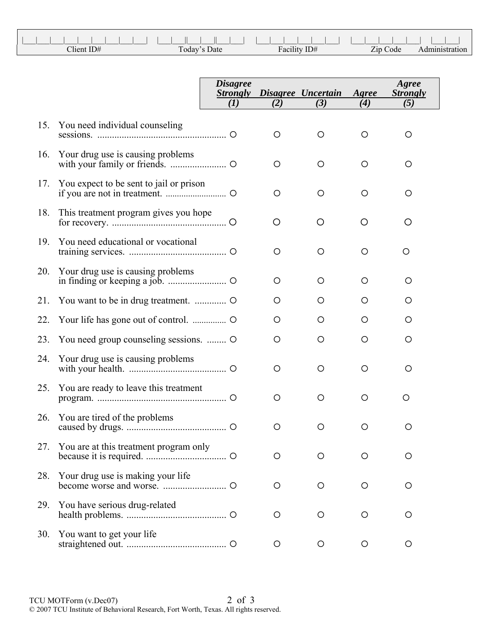| Client ID# | $\mathbf{r}$<br>Date<br>1 oday | $\mathbf{r}$<br>$T\Gamma$<br>ID#<br>Facili | Zip Code |  |
|------------|--------------------------------|--------------------------------------------|----------|--|

|     |                                         | <b>Disagree</b><br><i><b>Strongly</b></i><br>(I) | (2)     | Disagree Uncertain<br>(3) | Agree<br>(4) | Agree<br><b>Strongly</b><br>(5) |
|-----|-----------------------------------------|--------------------------------------------------|---------|---------------------------|--------------|---------------------------------|
|     |                                         |                                                  |         |                           |              |                                 |
| 15. | You need individual counseling          |                                                  | O       | $\circ$                   | $\circ$      | O                               |
| 16. | Your drug use is causing problems       |                                                  | $\circ$ | O                         | O            | $\circ$                         |
| 17. | You expect to be sent to jail or prison |                                                  | O       | O                         | $\circ$      | O                               |
| 18. | This treatment program gives you hope   |                                                  | O       | O                         | O            | O                               |
| 19. | You need educational or vocational      |                                                  | $\circ$ | O                         | O            | O                               |
| 20. | Your drug use is causing problems       |                                                  | $\circ$ | $\circ$                   | $\circ$      | $\circ$                         |
| 21. |                                         |                                                  | O       | O                         | $\circ$      | O                               |
| 22. |                                         |                                                  | $\circ$ | O                         | O            | $\circ$                         |
| 23. | You need group counseling sessions.     |                                                  | $\circ$ | O                         | O            | O                               |
| 24. | Your drug use is causing problems       |                                                  | $\circ$ | O                         | O            | O                               |
| 25. | You are ready to leave this treatment   |                                                  | $\circ$ | O                         | O            | O                               |
| 26. | You are tired of the problems           |                                                  | O       | O                         | O            | O                               |
| 27. | You are at this treatment program only  |                                                  | Ő       | Ő                         | Ő            | Ő                               |
| 28. | Your drug use is making your life       |                                                  | O       | $\circ$                   | $\circ$      | O                               |
| 29. | You have serious drug-related           |                                                  | O       | O                         | O            | O                               |
| 30. | You want to get your life               |                                                  | $\circ$ | O                         | $\circ$      | O                               |